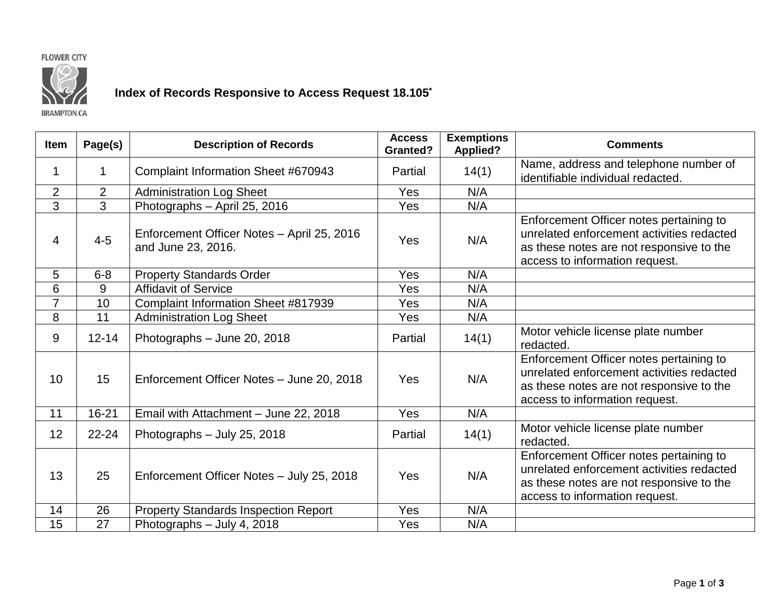## **FLOWER CITY**



## **Index of Records Responsive to Access Request 18.105\***

**BRAMPTON.CA** 

| <b>Item</b>    | Page(s)        | <b>Description of Records</b>                                    | <b>Access</b><br><b>Granted?</b> | <b>Exemptions</b><br><b>Applied?</b> | <b>Comments</b>                                                                                                                                                    |
|----------------|----------------|------------------------------------------------------------------|----------------------------------|--------------------------------------|--------------------------------------------------------------------------------------------------------------------------------------------------------------------|
| 1              | 1              | Complaint Information Sheet #670943                              | Partial                          | 14(1)                                | Name, address and telephone number of<br>identifiable individual redacted.                                                                                         |
| $\overline{2}$ | $\overline{2}$ | <b>Administration Log Sheet</b>                                  | Yes                              | N/A                                  |                                                                                                                                                                    |
| 3              | 3              | Photographs - April 25, 2016                                     | Yes                              | N/A                                  |                                                                                                                                                                    |
| $\overline{4}$ | $4 - 5$        | Enforcement Officer Notes - April 25, 2016<br>and June 23, 2016. | Yes                              | N/A                                  | Enforcement Officer notes pertaining to<br>unrelated enforcement activities redacted<br>as these notes are not responsive to the<br>access to information request. |
| 5              | $6 - 8$        | <b>Property Standards Order</b>                                  | Yes                              | N/A                                  |                                                                                                                                                                    |
| 6              | 9              | <b>Affidavit of Service</b>                                      | Yes                              | N/A                                  |                                                                                                                                                                    |
| $\overline{7}$ | 10             | Complaint Information Sheet #817939                              | Yes                              | N/A                                  |                                                                                                                                                                    |
| 8              | 11             | <b>Administration Log Sheet</b>                                  | Yes                              | N/A                                  |                                                                                                                                                                    |
| 9              | $12 - 14$      | Photographs - June 20, 2018                                      | Partial                          | 14(1)                                | Motor vehicle license plate number<br>redacted.                                                                                                                    |
| 10             | 15             | Enforcement Officer Notes - June 20, 2018                        | Yes                              | N/A                                  | Enforcement Officer notes pertaining to<br>unrelated enforcement activities redacted<br>as these notes are not responsive to the<br>access to information request. |
| 11             | $16 - 21$      | Email with Attachment - June 22, 2018                            | Yes                              | N/A                                  |                                                                                                                                                                    |
| 12             | 22-24          | Photographs - July 25, 2018                                      | Partial                          | 14(1)                                | Motor vehicle license plate number<br>redacted.                                                                                                                    |
| 13             | 25             | Enforcement Officer Notes - July 25, 2018                        | Yes                              | N/A                                  | Enforcement Officer notes pertaining to<br>unrelated enforcement activities redacted<br>as these notes are not responsive to the<br>access to information request. |
| 14             | 26             | <b>Property Standards Inspection Report</b>                      | Yes                              | N/A                                  |                                                                                                                                                                    |
| 15             | 27             | Photographs - July 4, 2018                                       | Yes                              | N/A                                  |                                                                                                                                                                    |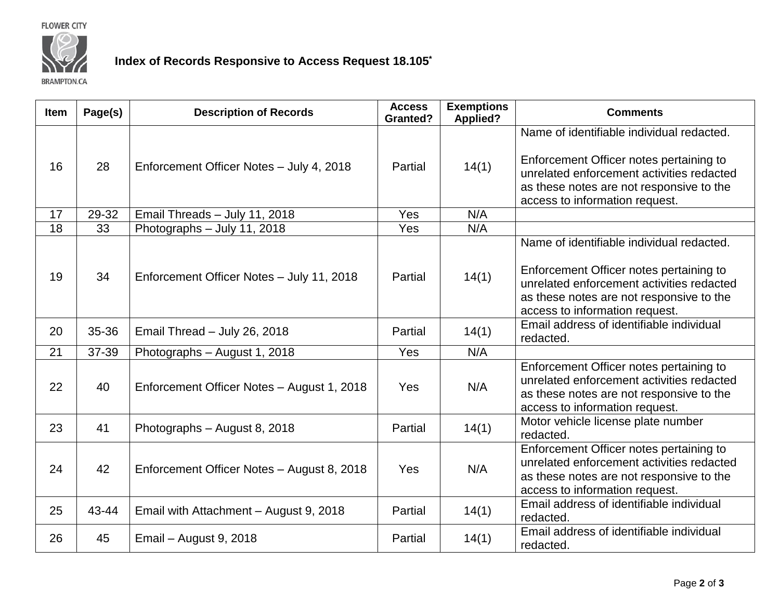**FLOWER CITY** 



## **Index of Records Responsive to Access Request 18.105\***

**BRAMPTON.CA** 

| Item | Page(s) | <b>Description of Records</b>              | <b>Access</b><br><b>Granted?</b> | <b>Exemptions</b><br><b>Applied?</b> | <b>Comments</b>                                                                                                                                                                                                 |
|------|---------|--------------------------------------------|----------------------------------|--------------------------------------|-----------------------------------------------------------------------------------------------------------------------------------------------------------------------------------------------------------------|
| 16   | 28      | Enforcement Officer Notes - July 4, 2018   | Partial                          | 14(1)                                | Name of identifiable individual redacted.<br>Enforcement Officer notes pertaining to<br>unrelated enforcement activities redacted<br>as these notes are not responsive to the<br>access to information request. |
| 17   | 29-32   | Email Threads - July 11, 2018              | Yes                              | N/A                                  |                                                                                                                                                                                                                 |
| 18   | 33      | Photographs - July 11, 2018                | Yes                              | N/A                                  |                                                                                                                                                                                                                 |
| 19   | 34      | Enforcement Officer Notes - July 11, 2018  | Partial                          | 14(1)                                | Name of identifiable individual redacted.<br>Enforcement Officer notes pertaining to<br>unrelated enforcement activities redacted<br>as these notes are not responsive to the<br>access to information request. |
| 20   | 35-36   | Email Thread - July 26, 2018               | Partial                          | 14(1)                                | Email address of identifiable individual<br>redacted.                                                                                                                                                           |
| 21   | 37-39   | Photographs - August 1, 2018               | Yes                              | N/A                                  |                                                                                                                                                                                                                 |
| 22   | 40      | Enforcement Officer Notes - August 1, 2018 | <b>Yes</b>                       | N/A                                  | Enforcement Officer notes pertaining to<br>unrelated enforcement activities redacted<br>as these notes are not responsive to the<br>access to information request.                                              |
| 23   | 41      | Photographs - August 8, 2018               | Partial                          | 14(1)                                | Motor vehicle license plate number<br>redacted.                                                                                                                                                                 |
| 24   | 42      | Enforcement Officer Notes - August 8, 2018 | Yes                              | N/A                                  | Enforcement Officer notes pertaining to<br>unrelated enforcement activities redacted<br>as these notes are not responsive to the<br>access to information request.                                              |
| 25   | 43-44   | Email with Attachment - August 9, 2018     | Partial                          | 14(1)                                | Email address of identifiable individual<br>redacted.                                                                                                                                                           |
| 26   | 45      | Email - August 9, 2018                     | Partial                          | 14(1)                                | Email address of identifiable individual<br>redacted.                                                                                                                                                           |